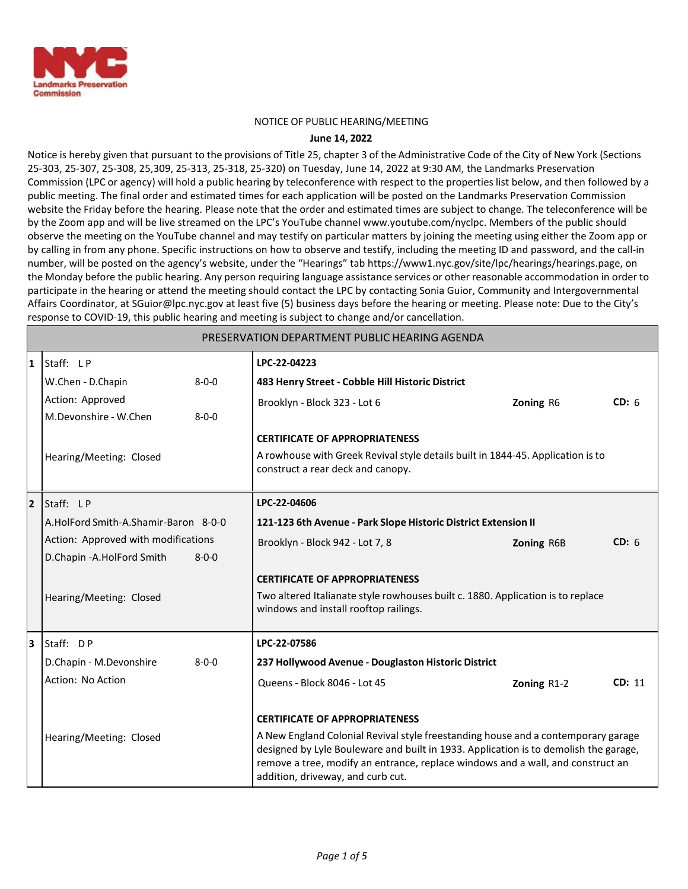

#### NOTICE OF PUBLIC HEARING/MEETING

#### **June 14, 2022**

Notice is hereby given that pursuant to the provisions of Title 25, chapter 3 of the Administrative Code of the City of New York (Sections 25-303, 25-307, 25-308, 25,309, 25-313, 25-318, 25-320) on Tuesday, June 14, 2022 at 9:30 AM, the Landmarks Preservation Commission (LPC or agency) will hold a public hearing by teleconference with respect to the properties list below, and then followed by a public meeting. The final order and estimated times for each application will be posted on the Landmarks Preservation Commission website the Friday before the hearing. Please note that the order and estimated times are subject to change. The teleconference will be by the Zoom app and will be live streamed on the LPC's YouTube channe[l www.youtube.com/nyclpc. M](http://www.youtube.com/nyclpc)embers of the public should observe the meeting on the YouTube channel and may testify on particular matters by joining the meeting using either the Zoom app or by calling in from any phone. Specific instructions on how to observe and testify, including the meeting ID and password, and the call-in number, will be posted on the agency's website, under the "Hearings" tab https://www1.nyc.gov/site/lpc/hearings/hearings.page, on the Monday before the public hearing. Any person requiring language assistance services or other reasonable accommodation in order to participate in the hearing or attend the meeting should contact the LPC by contacting Sonia Guior, Community and Intergovernmental Affairs Coordinator, a[t SGuior@lpc.nyc.gov a](mailto:SGuior@lpc.nyc.gov)t least five (5) business days before the hearing or meeting. Please note: Due to the City's response to COVID-19, this public hearing and meeting is subject to change and/or cancellation.

| PRESERVATION DEPARTMENT PUBLIC HEARING AGENDA |                                           |                                                                                                                                                                                                                                                                                                   |             |        |  |  |  |  |
|-----------------------------------------------|-------------------------------------------|---------------------------------------------------------------------------------------------------------------------------------------------------------------------------------------------------------------------------------------------------------------------------------------------------|-------------|--------|--|--|--|--|
| 11                                            | Staff: LP                                 | LPC-22-04223                                                                                                                                                                                                                                                                                      |             |        |  |  |  |  |
|                                               | W.Chen - D.Chapin<br>$8 - 0 - 0$          | 483 Henry Street - Cobble Hill Historic District                                                                                                                                                                                                                                                  |             |        |  |  |  |  |
|                                               | Action: Approved                          | Brooklyn - Block 323 - Lot 6                                                                                                                                                                                                                                                                      | Zoning R6   | CD: 6  |  |  |  |  |
|                                               | M.Devonshire - W.Chen<br>$8 - 0 - 0$      |                                                                                                                                                                                                                                                                                                   |             |        |  |  |  |  |
|                                               |                                           | <b>CERTIFICATE OF APPROPRIATENESS</b>                                                                                                                                                                                                                                                             |             |        |  |  |  |  |
|                                               | Hearing/Meeting: Closed                   | A rowhouse with Greek Revival style details built in 1844-45. Application is to<br>construct a rear deck and canopy.                                                                                                                                                                              |             |        |  |  |  |  |
| Staff: LP<br>LPC-22-04606<br>$\overline{2}$   |                                           |                                                                                                                                                                                                                                                                                                   |             |        |  |  |  |  |
|                                               | A.HolFord Smith-A.Shamir-Baron 8-0-0      | 121-123 6th Avenue - Park Slope Historic District Extension II                                                                                                                                                                                                                                    |             |        |  |  |  |  |
|                                               | Action: Approved with modifications       | Brooklyn - Block 942 - Lot 7, 8                                                                                                                                                                                                                                                                   | Zoning R6B  | CD: 6  |  |  |  |  |
|                                               | D.Chapin - A.HolFord Smith<br>$8 - 0 - 0$ |                                                                                                                                                                                                                                                                                                   |             |        |  |  |  |  |
|                                               |                                           | <b>CERTIFICATE OF APPROPRIATENESS</b>                                                                                                                                                                                                                                                             |             |        |  |  |  |  |
|                                               | Hearing/Meeting: Closed                   | Two altered Italianate style rowhouses built c. 1880. Application is to replace<br>windows and install rooftop railings.                                                                                                                                                                          |             |        |  |  |  |  |
| l3                                            | Staff: DP                                 | LPC-22-07586                                                                                                                                                                                                                                                                                      |             |        |  |  |  |  |
|                                               | D.Chapin - M.Devonshire<br>$8 - 0 - 0$    | 237 Hollywood Avenue - Douglaston Historic District                                                                                                                                                                                                                                               |             |        |  |  |  |  |
|                                               | Action: No Action                         | Queens - Block 8046 - Lot 45                                                                                                                                                                                                                                                                      | Zoning R1-2 | CD: 11 |  |  |  |  |
|                                               |                                           | <b>CERTIFICATE OF APPROPRIATENESS</b>                                                                                                                                                                                                                                                             |             |        |  |  |  |  |
|                                               | Hearing/Meeting: Closed                   | A New England Colonial Revival style freestanding house and a contemporary garage<br>designed by Lyle Bouleware and built in 1933. Application is to demolish the garage,<br>remove a tree, modify an entrance, replace windows and a wall, and construct an<br>addition, driveway, and curb cut. |             |        |  |  |  |  |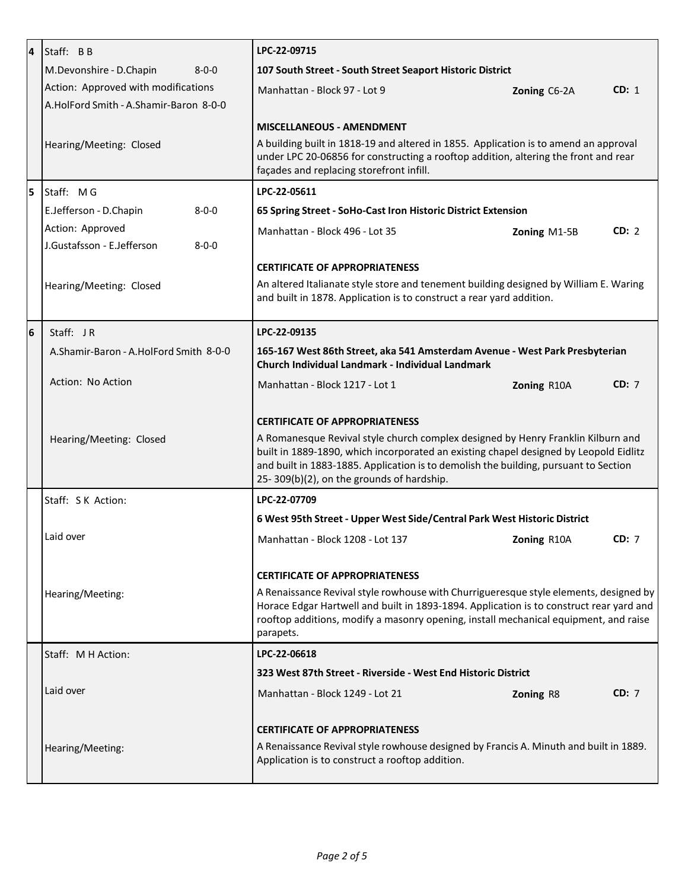| $\overline{a}$ | Staff: BB                                 | LPC-22-09715                                                                                                                                                                                                                                                                                                                                            |              |       |
|----------------|-------------------------------------------|---------------------------------------------------------------------------------------------------------------------------------------------------------------------------------------------------------------------------------------------------------------------------------------------------------------------------------------------------------|--------------|-------|
|                | M.Devonshire - D.Chapin<br>$8 - 0 - 0$    | 107 South Street - South Street Seaport Historic District                                                                                                                                                                                                                                                                                               |              |       |
|                | Action: Approved with modifications       | Manhattan - Block 97 - Lot 9                                                                                                                                                                                                                                                                                                                            | Zoning C6-2A | CD: 1 |
|                | A.HolFord Smith - A.Shamir-Baron 8-0-0    |                                                                                                                                                                                                                                                                                                                                                         |              |       |
|                |                                           | <b>MISCELLANEOUS - AMENDMENT</b>                                                                                                                                                                                                                                                                                                                        |              |       |
|                | Hearing/Meeting: Closed                   | A building built in 1818-19 and altered in 1855. Application is to amend an approval<br>under LPC 20-06856 for constructing a rooftop addition, altering the front and rear                                                                                                                                                                             |              |       |
|                |                                           | façades and replacing storefront infill.                                                                                                                                                                                                                                                                                                                |              |       |
| 5              | Staff: MG                                 | LPC-22-05611                                                                                                                                                                                                                                                                                                                                            |              |       |
|                | E.Jefferson - D.Chapin<br>$8 - 0 - 0$     | 65 Spring Street - SoHo-Cast Iron Historic District Extension                                                                                                                                                                                                                                                                                           |              |       |
|                | Action: Approved                          | Manhattan - Block 496 - Lot 35                                                                                                                                                                                                                                                                                                                          | Zoning M1-5B | CD: 2 |
|                | J.Gustafsson - E.Jefferson<br>$8 - 0 - 0$ |                                                                                                                                                                                                                                                                                                                                                         |              |       |
|                |                                           | <b>CERTIFICATE OF APPROPRIATENESS</b>                                                                                                                                                                                                                                                                                                                   |              |       |
|                | Hearing/Meeting: Closed                   | An altered Italianate style store and tenement building designed by William E. Waring<br>and built in 1878. Application is to construct a rear yard addition.                                                                                                                                                                                           |              |       |
| 6              | Staff: JR                                 | LPC-22-09135                                                                                                                                                                                                                                                                                                                                            |              |       |
|                | A.Shamir-Baron - A.HolFord Smith 8-0-0    | 165-167 West 86th Street, aka 541 Amsterdam Avenue - West Park Presbyterian<br>Church Individual Landmark - Individual Landmark                                                                                                                                                                                                                         |              |       |
|                | Action: No Action                         | Manhattan - Block 1217 - Lot 1                                                                                                                                                                                                                                                                                                                          | Zoning R10A  | CD: 7 |
|                | Hearing/Meeting: Closed                   | <b>CERTIFICATE OF APPROPRIATENESS</b><br>A Romanesque Revival style church complex designed by Henry Franklin Kilburn and<br>built in 1889-1890, which incorporated an existing chapel designed by Leopold Eidlitz<br>and built in 1883-1885. Application is to demolish the building, pursuant to Section<br>25-309(b)(2), on the grounds of hardship. |              |       |
|                |                                           | LPC-22-07709                                                                                                                                                                                                                                                                                                                                            |              |       |
|                | Staff: S K Action:                        |                                                                                                                                                                                                                                                                                                                                                         |              |       |
|                |                                           | 6 West 95th Street - Upper West Side/Central Park West Historic District                                                                                                                                                                                                                                                                                |              |       |
|                | Laid over                                 | Manhattan - Block 1208 - Lot 137                                                                                                                                                                                                                                                                                                                        | Zoning R10A  | CD: 7 |
|                |                                           | <b>CERTIFICATE OF APPROPRIATENESS</b>                                                                                                                                                                                                                                                                                                                   |              |       |
|                |                                           |                                                                                                                                                                                                                                                                                                                                                         |              |       |
|                | Hearing/Meeting:                          | A Renaissance Revival style rowhouse with Churrigueresque style elements, designed by<br>Horace Edgar Hartwell and built in 1893-1894. Application is to construct rear yard and<br>rooftop additions, modify a masonry opening, install mechanical equipment, and raise<br>parapets.                                                                   |              |       |
|                | Staff: M H Action:                        | LPC-22-06618                                                                                                                                                                                                                                                                                                                                            |              |       |
|                |                                           | 323 West 87th Street - Riverside - West End Historic District                                                                                                                                                                                                                                                                                           |              |       |
|                | Laid over                                 | Manhattan - Block 1249 - Lot 21                                                                                                                                                                                                                                                                                                                         | Zoning R8    | CD: 7 |
|                |                                           | <b>CERTIFICATE OF APPROPRIATENESS</b>                                                                                                                                                                                                                                                                                                                   |              |       |
|                | Hearing/Meeting:                          | A Renaissance Revival style rowhouse designed by Francis A. Minuth and built in 1889.<br>Application is to construct a rooftop addition.                                                                                                                                                                                                                |              |       |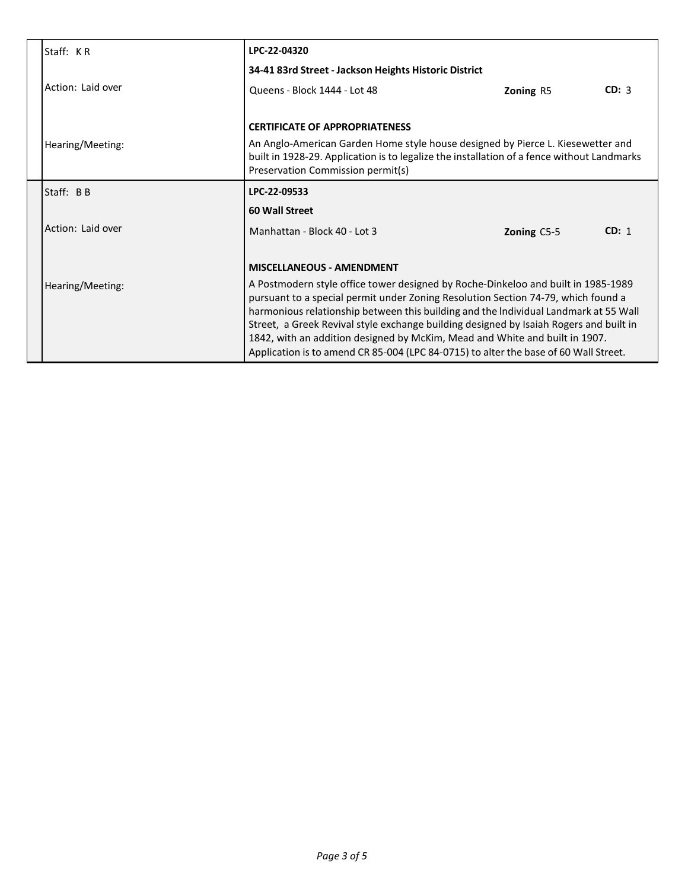| Staff: KR         | LPC-22-04320                                                                                                                                                                                                                                                                                                                                                                                                                                                                                                                    |             |       |  |
|-------------------|---------------------------------------------------------------------------------------------------------------------------------------------------------------------------------------------------------------------------------------------------------------------------------------------------------------------------------------------------------------------------------------------------------------------------------------------------------------------------------------------------------------------------------|-------------|-------|--|
|                   | 34-41 83rd Street - Jackson Heights Historic District                                                                                                                                                                                                                                                                                                                                                                                                                                                                           |             |       |  |
| Action: Laid over | Queens - Block 1444 - Lot 48                                                                                                                                                                                                                                                                                                                                                                                                                                                                                                    | Zoning R5   | CD: 3 |  |
| Hearing/Meeting:  | <b>CERTIFICATE OF APPROPRIATENESS</b><br>An Anglo-American Garden Home style house designed by Pierce L. Kiesewetter and<br>built in 1928-29. Application is to legalize the installation of a fence without Landmarks<br>Preservation Commission permit(s)                                                                                                                                                                                                                                                                     |             |       |  |
| Staff: BB         | LPC-22-09533                                                                                                                                                                                                                                                                                                                                                                                                                                                                                                                    |             |       |  |
|                   | 60 Wall Street                                                                                                                                                                                                                                                                                                                                                                                                                                                                                                                  |             |       |  |
| Action: Laid over | Manhattan - Block 40 - Lot 3                                                                                                                                                                                                                                                                                                                                                                                                                                                                                                    | Zoning C5-5 | CD: 1 |  |
|                   | <b>MISCELLANEOUS - AMENDMENT</b>                                                                                                                                                                                                                                                                                                                                                                                                                                                                                                |             |       |  |
| Hearing/Meeting:  | A Postmodern style office tower designed by Roche-Dinkeloo and built in 1985-1989<br>pursuant to a special permit under Zoning Resolution Section 74-79, which found a<br>harmonious relationship between this building and the Individual Landmark at 55 Wall<br>Street, a Greek Revival style exchange building designed by Isaiah Rogers and built in<br>1842, with an addition designed by McKim, Mead and White and built in 1907.<br>Application is to amend CR 85-004 (LPC 84-0715) to alter the base of 60 Wall Street. |             |       |  |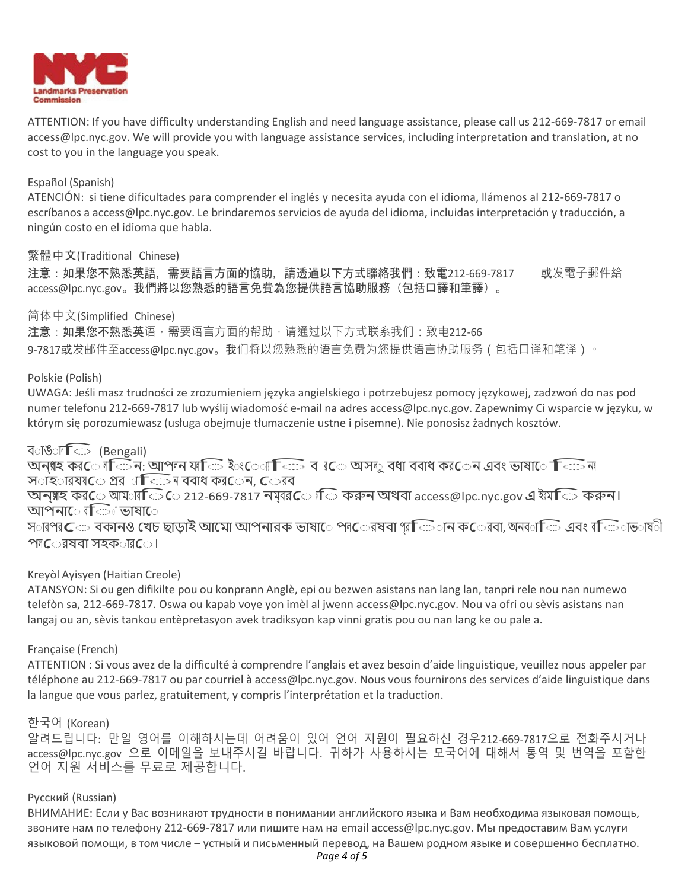

ATTENTION: If you have difficulty understanding English and need language assistance, please call us 212-669-7817 or email [access@lpc.nyc.gov. W](mailto:access@lpc.nyc.gov)e will provide you with language assistance services, including interpretation and translation, at no cost to you in the language you speak.

#### Español (Spanish)

ATENCIÓN: si tiene dificultades para comprender el inglés y necesita ayuda con el idioma, llámenos al 212-669-7817 o escríbanos a [access@lpc.nyc.gov.](mailto:access@lpc.nyc.gov) Le brindaremos servicios de ayuda del idioma, incluidas interpretación y traducción, a ningún costo en el idioma que habla.

# 繁體中文(Traditional Chinese)

注意:如果您不熟悉英語,需要語言方面的協助,請透過以下方式聯絡我們:致電212-669-7817 或发電子郵件給 [access@lpc.nyc.gov](mailto:access@lpc.nyc.gov)。我們將以您熟悉的語言免費為您提供語言協助服務(包括口譯和筆譯)。

#### 简体中文(Simplified Chinese)

注意:如果您不熟悉英语,需要语言方面的帮助,请通过以下方式联系我们:致电212-66 9-7817或发邮件至[access@lpc.nyc.gov](mailto:9-7817%E6%88%96%E5%8F%91%E9%82%AE%E4%BB%B6%E8%87%B3access@lpc.nyc.gov)。我们将以您熟悉的语言免费为您提供语言协助服务(包括口译和笔译)。

#### Polskie (Polish)

UWAGA: Jeśli masz trudności ze zrozumieniem języka angielskiego i potrzebujesz pomocy językowej, zadzwoń do nas pod numer telefonu 212-669-7817 lub wyślij wiadomość e-mail na adres [access@lpc.nyc.gov.](mailto:access@lpc.nyc.gov) Zapewnimy Ci wsparcie w języku, w którym się porozumiewasz (usługa obejmuje tłumaczenie ustne i pisemne). Nie ponosisz żadnych kosztów.

# ব**াঙ**াল**ি** (Bengali)

বাঙাল ি (Bengali)<br>অন্য়হ কর**ে** লক্রিন: আপলন যাক্রি ইংেো কিঃ্র বাবেত অসলু বধা ববাধ কর**েন এবং ভাষা**ে কিঃ্রন্য<br>সংক্রানমূদ্রত পূর্ব বুলি নাম বর্ষণ কর্তনেন বিভারর ২০৩০ন ৩০ (Bengan)<br>অন্য়হ কর*ে* ৰতি ন: আপৰন যাতি ইংোা তি:<br>স**াহ**ারযয়তে প্রর**াতি:: ন ববাধ কর**েন, তেরব

স**াঁহ**ারয়ত প্রের াতিক্রিন ববাধ কর**েন, ে**রব<br>অনগ্গহ কর**ে** আম**ারিভি ে 212-669-7817 নম্বর**ে ।ি করুন অথবা [access@lpc.nyc.gov](mailto:access@lpc.nyc.gov) এ ইয়েতি করুন। আপনা**ে ব**িা ভাষা**ে** 

স $\cap$ ারপর $\subset$  বকানও খেচ ছাড়াই আমাে আপনারক ভাষাে পে $\subset$ রষবা প্র $\subset$ ান ক $\subset$ রবা, অনব $\cap\subset$  এবং ব $\subset$ াভ $\cap$ ষ $\cap$ পল $\epsilon$ েরষবা সহক $\epsilon$ ার $\epsilon$ ।

# Kreyòl Ayisyen (Haitian Creole)

ATANSYON: Si ou gen difikilte pou ou konprann Anglè, epi ou bezwen asistans nan lang lan, tanpri rele nou nan numewo telefòn sa, 212-669-7817. Oswa ou kapab voye yon imèl al jwenn [access@lpc.nyc.gov. N](mailto:access@lpc.nyc.gov)ou va ofri ou sèvis asistans nan langaj ou an, sèvis tankou entèpretasyon avek tradiksyon kap vinni gratis pou ou nan lang ke ou pale a.

# Française (French)

ATTENTION : Si vous avez de la difficulté à comprendre l'anglais et avez besoin d'aide linguistique, veuillez nous appeler par téléphone au 212-669-7817 ou par courriel à [access@lpc.nyc.gov.](mailto:access@lpc.nyc.gov) Nous vous fournirons des services d'aide linguistique dans la langue que vous parlez, gratuitement, y compris l'interprétation et la traduction.

# 한국어 (Korean)

알려드립니다: 만일 영어를 이해하시는데 어려움이 있어 언어 지원이 필요하신 경우212-669-7817으로 전화주시거나 [access@lpc.nyc.gov](mailto:access@lpc.nyc.gov) 으로 이메일을 보내주시길 바랍니다. 귀하가 사용하시는 모국어에 대해서 통역 및 번역을 포함한 언어 지원 서비스를 무료로 제공합니다.

# Русский (Russian)

ВНИМАНИЕ: Если у Вас возникают трудности в понимании английского языка и Вам необходима языковая помощь, звоните нам по телефону 212-669-7817 или пишите нам на email [access@lpc.nyc.gov.](mailto:access@lpc.nyc.gov) Мы предоставим Вам услуги языковой помощи, в том числе – устный и письменный перевод, на Вашем родном языке и совершенно бесплатно.